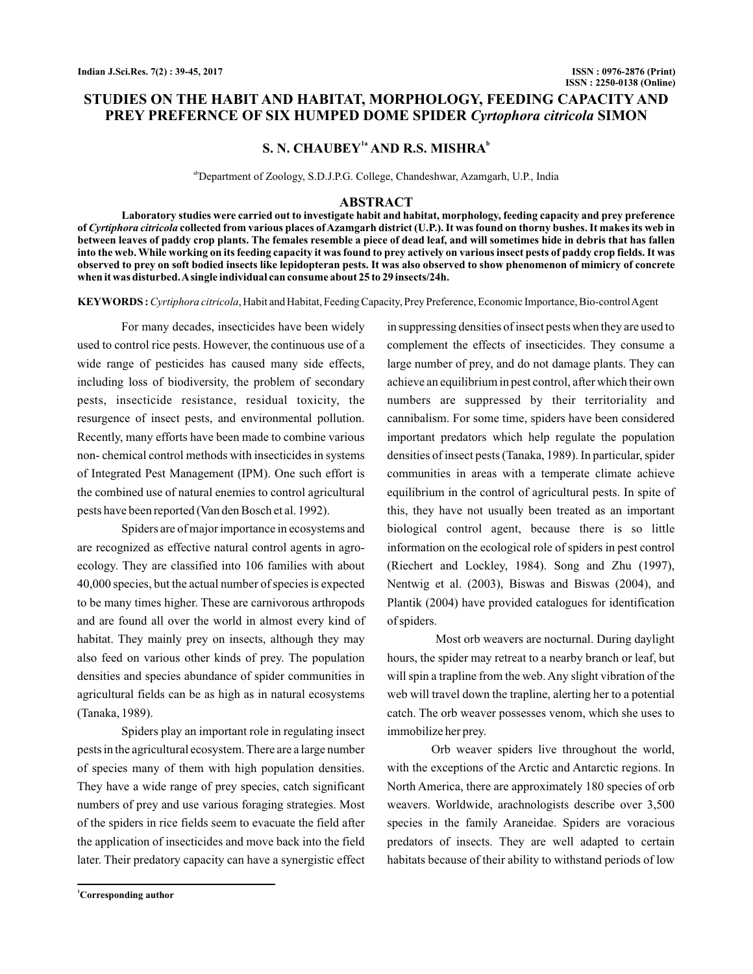# **STUDIES ON THE HABIT AND HABITAT, MORPHOLOGY, FEEDING CAPACITY AND PREY PREFERNCE OF SIX HUMPED DOME SPIDER Cyrtophora citricola SIMON**

# $S. N. CHAUBEY<sup>1a</sup> AND R.S. MISHRA<sup>b</sup>$

abDepartment of Zoology, S.D.J.P.G. College, Chandeshwar, Azamgarh, U.P., India

#### **ABSTRACT**

**Laboratory studies were carried out to investigate habit and habitat, morphology, feeding capacity and prey preference of collected from various places of Azamgarh district (U.P.). It was found on thorny bushes. It makes its web in** *Cyrtiphora citricola* **between leaves of paddy crop plants. The females resemble a piece of dead leaf, and will sometimes hide in debris that has fallen into the web.While working on its feeding capacity it was found to prey actively on various insect pests of paddy crop fields. It was observed to prey on soft bodied insects like lepidopteran pests. It was also observed to show phenomenon of mimicry of concrete when it was disturbed.Asingle individual can consume about 25 to 29 insects/24h.**

KEYWORDS: Cyrtiphora citricola, Habit and Habitat, Feeding Capacity, Prey Preference, Economic Importance, Bio-control Agent

For many decades, insecticides have been widely used to control rice pests. However, the continuous use of a wide range of pesticides has caused many side effects, including loss of biodiversity, the problem of secondary pests, insecticide resistance, residual toxicity, the resurgence of insect pests, and environmental pollution. Recently, many efforts have been made to combine various non- chemical control methods with insecticides in systems of Integrated Pest Management (IPM). One such effort is the combined use of natural enemies to control agricultural pests have been reported (Van den Bosch et al. 1992).

Spiders are of major importance in ecosystems and are recognized as effective natural control agents in agroecology. They are classified into 106 families with about 40,000 species, but the actual number of species is expected to be many times higher. These are carnivorous arthropods and are found all over the world in almost every kind of habitat. They mainly prey on insects, although they may also feed on various other kinds of prey. The population densities and species abundance of spider communities in agricultural fields can be as high as in natural ecosystems (Tanaka, 1989).

Spiders play an important role in regulating insect pests in the agricultural ecosystem. There are a large number of species many of them with high population densities. They have a wide range of prey species, catch significant numbers of prey and use various foraging strategies. Most of the spiders in rice fields seem to evacuate the field after the application of insecticides and move back into the field later. Their predatory capacity can have a synergistic effect in suppressing densities of insect pests when they are used to complement the effects of insecticides. They consume a large number of prey, and do not damage plants. They can achieve an equilibrium in pest control, after which their own numbers are suppressed by their territoriality and cannibalism. For some time, spiders have been considered important predators which help regulate the population densities of insect pests (Tanaka, 1989). In particular, spider communities in areas with a temperate climate achieve equilibrium in the control of agricultural pests. In spite of this, they have not usually been treated as an important biological control agent, because there is so little information on the ecological role of spiders in pest control (Riechert and Lockley, 1984). Song and Zhu (1997), Nentwig et al. (2003), Biswas and Biswas (2004), and Plantik (2004) have provided catalogues for identification of spiders.

Most orb weavers are nocturnal. During daylight hours, the spider may retreat to a nearby branch or leaf, but will spin a trapline from the web. Any slight vibration of the web will travel down the trapline, alerting her to a potential catch. The orb weaver possesses venom, which she uses to immobilize her prey.

Orb weaver spiders live throughout the world, with the exceptions of the Arctic and Antarctic regions. In North America, there are approximately 180 species of orb weavers. Worldwide, arachnologists describe over 3,500 species in the family Araneidae. Spiders are voracious predators of insects. They are well adapted to certain habitats because of their ability to withstand periods of low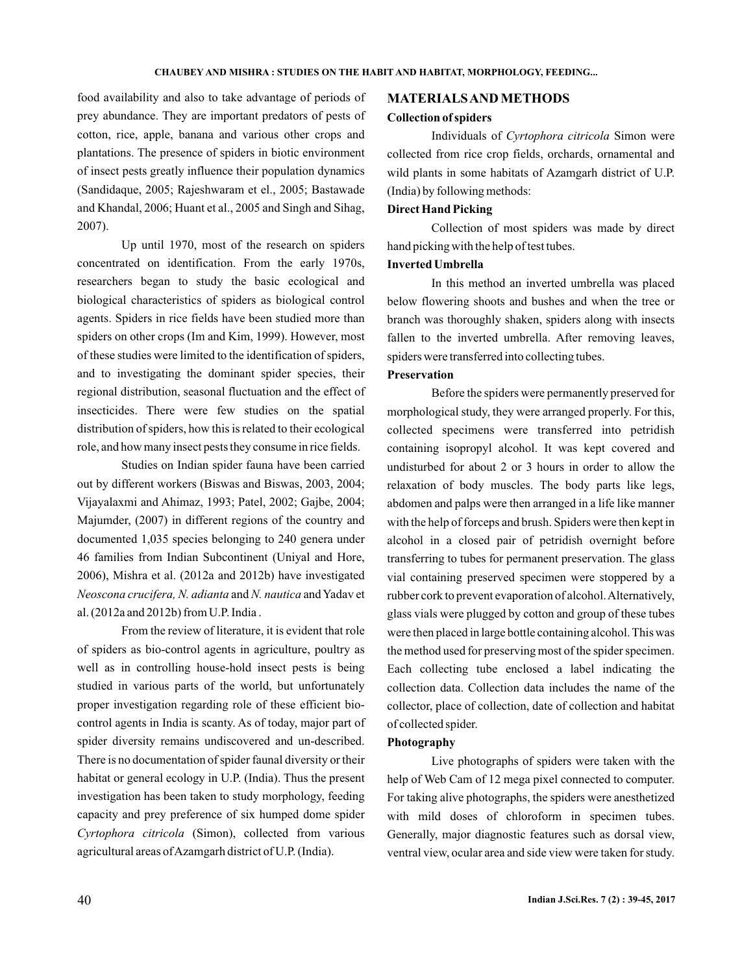food availability and also to take advantage of periods of prey abundance. They are important predators of pests of cotton, rice, apple, banana and various other crops and plantations. The presence of spiders in biotic environment of insect pests greatly influence their population dynamics (Sandidaque, 2005; Rajeshwaram et el., 2005; Bastawade and Khandal, 2006; Huant et al., 2005 and Singh and Sihag, 2007).

Up until 1970, most of the research on spiders concentrated on identification. From the early 1970s, researchers began to study the basic ecological and biological characteristics of spiders as biological control agents. Spiders in rice fields have been studied more than spiders on other crops (Im and Kim, 1999). However, most of these studies were limited to the identification of spiders, and to investigating the dominant spider species, their regional distribution, seasonal fluctuation and the effect of insecticides. There were few studies on the spatial distribution of spiders, how this is related to their ecological role, and how many insect pests they consume in rice fields.

Studies on Indian spider fauna have been carried out by different workers (Biswas and Biswas, 2003, 2004; Vijayalaxmi and Ahimaz, 1993; Patel, 2002; Gajbe, 2004; Majumder, (2007) in different regions of the country and documented 1,035 species belonging to 240 genera under 46 families from Indian Subcontinent (Uniyal and Hore, 2006), Mishra et al. (2012a and 2012b) have investigated *Neoscona crucifera, N. adianta and N. nautica and Yadav et* al. (2012a and 2012b) from U.P. India .

From the review of literature, it is evident that role of spiders as bio-control agents in agriculture, poultry as well as in controlling house-hold insect pests is being studied in various parts of the world, but unfortunately proper investigation regarding role of these efficient biocontrol agents in India is scanty. As of today, major part of spider diversity remains undiscovered and un-described. There is no documentation of spider faunal diversity or their habitat or general ecology in U.P. (India). Thus the present investigation has been taken to study morphology, feeding capacity and prey preference of six humped dome spider Cyrtophora citricola (Simon), collected from various agricultural areas ofAzamgarh district of U.P. (India).

### **MATERIALSANDMETHODS**

#### **Collection of spiders**

Individuals of Cyrtophora citricola Simon were collected from rice crop fields, orchards, ornamental and wild plants in some habitats of Azamgarh district of U.P. (India) by following methods:

# **Direct Hand Picking**

Collection of most spiders was made by direct hand picking with the help of test tubes.

## **Inverted Umbrella**

In this method an inverted umbrella was placed below flowering shoots and bushes and when the tree or branch was thoroughly shaken, spiders along with insects fallen to the inverted umbrella. After removing leaves, spiders were transferred into collecting tubes.

## **Preservation**

Before the spiders were permanently preserved for morphological study, they were arranged properly. For this, collected specimens were transferred into petridish containing isopropyl alcohol. It was kept covered and undisturbed for about 2 or 3 hours in order to allow the relaxation of body muscles. The body parts like legs, abdomen and palps were then arranged in a life like manner with the help of forceps and brush. Spiders were then kept in alcohol in a closed pair of petridish overnight before transferring to tubes for permanent preservation. The glass vial containing preserved specimen were stoppered by a rubber cork to prevent evaporation of alcohol.Alternatively, glass vials were plugged by cotton and group of these tubes were then placed in large bottle containing alcohol. This was the method used for preserving most of the spider specimen. Each collecting tube enclosed a label indicating the collection data. Collection data includes the name of the collector, place of collection, date of collection and habitat of collected spider.

### **Photography**

Live photographs of spiders were taken with the help of Web Cam of 12 mega pixel connected to computer. For taking alive photographs, the spiders were anesthetized with mild doses of chloroform in specimen tubes. Generally, major diagnostic features such as dorsal view, ventral view, ocular area and side view were taken for study.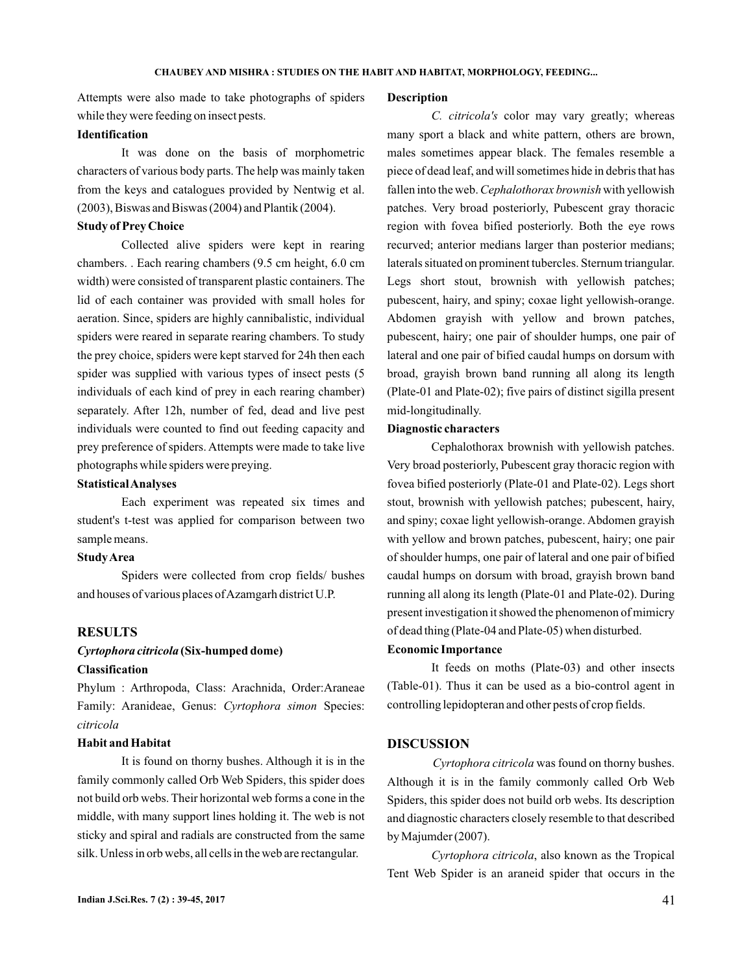Attempts were also made to take photographs of spiders while they were feeding on insect pests.

## **Identification**

It was done on the basis of morphometric characters of various body parts. The help was mainly taken from the keys and catalogues provided by Nentwig et al. (2003), Biswas and Biswas (2004) and Plantik (2004).

### **Study of Prey Choice**

Collected alive spiders were kept in rearing chambers. . Each rearing chambers (9.5 cm height, 6.0 cm width) were consisted of transparent plastic containers. The lid of each container was provided with small holes for aeration. Since, spiders are highly cannibalistic, individual spiders were reared in separate rearing chambers. To study the prey choice, spiders were kept starved for 24h then each spider was supplied with various types of insect pests (5 individuals of each kind of prey in each rearing chamber) separately. After 12h, number of fed, dead and live pest individuals were counted to find out feeding capacity and prey preference of spiders. Attempts were made to take live photographs while spiders were preying.

### **StatisticalAnalyses**

Each experiment was repeated six times and student's t-test was applied for comparison between two sample means.

### **StudyArea**

Spiders were collected from crop fields/ bushes and houses of various places of Azamgarh district U.P.

## **RESULTS**

# **(Six-humped dome)** *Cyrtophora citricola*

# **Classification**

Phylum : Arthropoda, Class: Arachnida, Order:Araneae Family: Aranideae, Genus: Cyrtophora simon Species: *citricola*

## **Habit and Habitat**

It is found on thorny bushes. Although it is in the family commonly called Orb Web Spiders, this spider does not build orb webs. Their horizontal web forms a cone in the middle, with many support lines holding it. The web is not sticky and spiral and radials are constructed from the same silk. Unless in orb webs, all cells in the web are rectangular.

#### **Description**

C. citricola's color may vary greatly; whereas many sport a black and white pattern, others are brown, males sometimes appear black. The females resemble a piece of dead leaf, and will sometimes hide in debris that has fallen into the web. Cephalothorax brownish with yellowish patches. Very broad posteriorly, Pubescent gray thoracic region with fovea bified posteriorly. Both the eye rows recurved; anterior medians larger than posterior medians; laterals situated on prominent tubercles. Sternum triangular. Legs short stout, brownish with yellowish patches; pubescent, hairy, and spiny; coxae light yellowish-orange. Abdomen grayish with yellow and brown patches, pubescent, hairy; one pair of shoulder humps, one pair of lateral and one pair of bified caudal humps on dorsum with broad, grayish brown band running all along its length (Plate-01 and Plate-02); five pairs of distinct sigilla present mid-longitudinally.

#### **Diagnostic characters**

Cephalothorax brownish with yellowish patches. Very broad posteriorly, Pubescent gray thoracic region with fovea bified posteriorly (Plate-01 and Plate-02). Legs short stout, brownish with yellowish patches; pubescent, hairy, and spiny; coxae light yellowish-orange. Abdomen grayish with yellow and brown patches, pubescent, hairy; one pair of shoulder humps, one pair of lateral and one pair of bified caudal humps on dorsum with broad, grayish brown band running all along its length (Plate-01 and Plate-02). During present investigation it showed the phenomenon of mimicry of dead thing (Plate-04 and Plate-05) when disturbed.

### **Economic Importance**

It feeds on moths (Plate-03) and other insects (Table-01). Thus it can be used as a bio-control agent in controlling lepidopteran and other pests of crop fields.

### **DISCUSSION**

Cyrtophora citricola was found on thorny bushes. Although it is in the family commonly called Orb Web Spiders, this spider does not build orb webs. Its description and diagnostic characters closely resemble to that described by Majumder (2007).

Cyrtophora citricola, also known as the Tropical Tent Web Spider is an araneid spider that occurs in the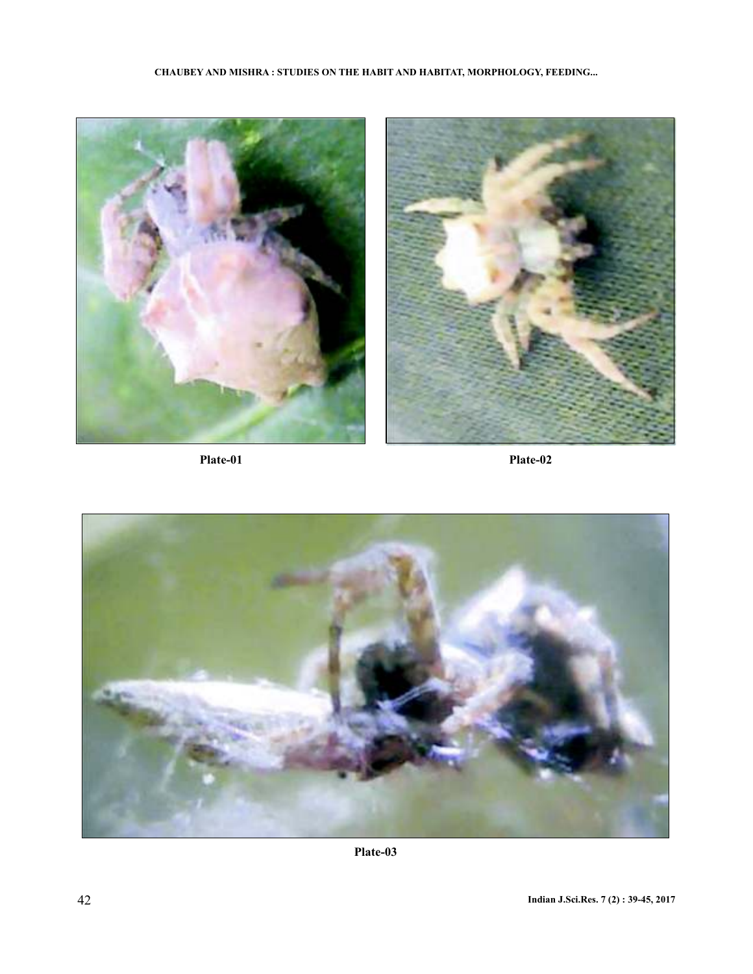



**Plate-03**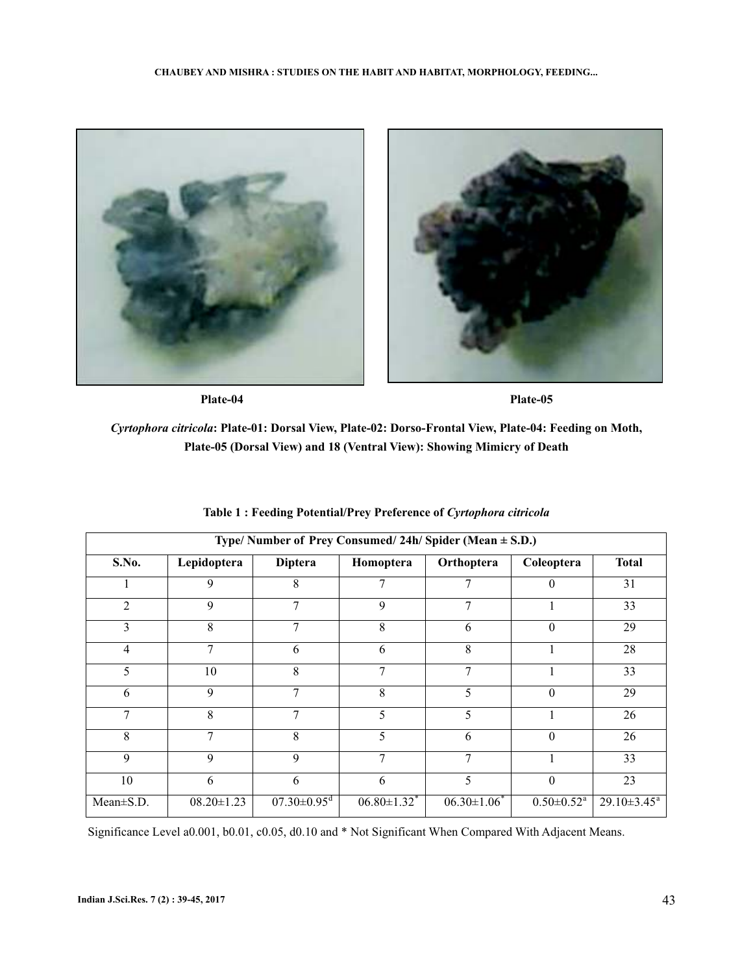

**Plate-04 Plate-05**

*Cyrtophora citricola***: Plate-01: Dorsal View, Plate-02: Dorso-Frontal View, Plate-04: Feeding on Moth, Plate-05 (Dorsal View) and 18 (Ventral View): Showing Mimicry of Death**

| Type/Number of Prey Consumed/24h/Spider (Mean $\pm$ S.D.) |                  |                               |                               |                  |                              |                  |
|-----------------------------------------------------------|------------------|-------------------------------|-------------------------------|------------------|------------------------------|------------------|
| S.No.                                                     | Lepidoptera      | <b>Diptera</b>                | Homoptera                     | Orthoptera       | Coleoptera                   | <b>Total</b>     |
|                                                           | 9                | 8                             | 7                             | 7                | $\theta$                     | 31               |
| 2                                                         | 9                | $\overline{7}$                | 9                             | 7                |                              | 33               |
| 3                                                         | 8                | 7                             | 8                             | 6                | $\theta$                     | 29               |
| 4                                                         | 7                | 6                             | 6                             | 8                |                              | 28               |
| 5                                                         | 10               | 8                             | 7                             | 7                |                              | 33               |
| 6                                                         | 9                | 7                             | 8                             | 5                | $\theta$                     | 29               |
| 7                                                         | 8                | 7                             | 5                             | 5                |                              | 26               |
| 8                                                         | 7                | 8                             | 5                             | 6                | $\theta$                     | 26               |
| 9                                                         | 9                | 9                             | 7                             | 7                |                              | 33               |
| 10                                                        | 6                | 6                             | 6                             | 5                | $\theta$                     | 23               |
| $Mean \pm S.D.$                                           | $08.20 \pm 1.23$ | $07.30 \pm 0.95$ <sup>d</sup> | $06.80 \pm 1.32$ <sup>*</sup> | $06.30 \pm 1.06$ | $0.50 \pm 0.52$ <sup>a</sup> | $29.10\pm3.45^a$ |

# **Table 1 : Feeding Potential/Prey Preference of** *Cyrtophora citricola*

Significance Level a0.001, b0.01, c0.05, d0.10 and \* Not Significant When Compared With Adjacent Means.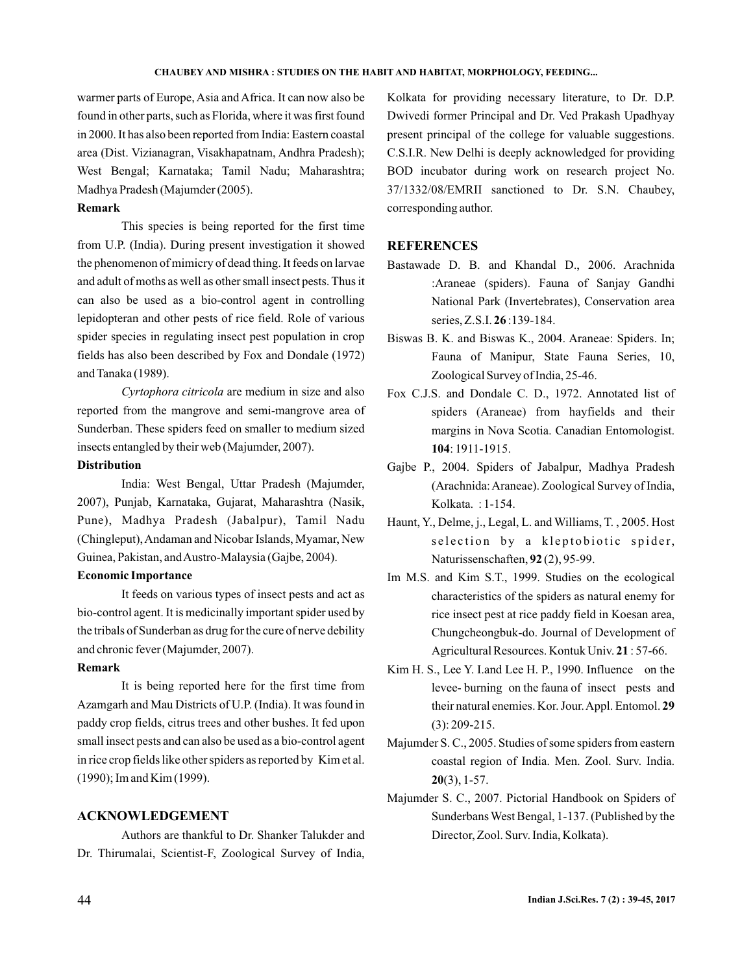warmer parts of Europe, Asia and Africa. It can now also be found in other parts, such as Florida, where it was first found in 2000. It has also been reported from India: Eastern coastal area (Dist. Vizianagran, Visakhapatnam, Andhra Pradesh); West Bengal; Karnataka; Tamil Nadu; Maharashtra; Madhya Pradesh (Majumder (2005).

### **Remark**

This species is being reported for the first time from U.P. (India). During present investigation it showed the phenomenon of mimicry of dead thing. It feeds on larvae and adult of moths as well as other small insect pests. Thus it can also be used as a bio-control agent in controlling lepidopteran and other pests of rice field. Role of various spider species in regulating insect pest population in crop fields has also been described by Fox and Dondale (1972) and Tanaka (1989).

Cyrtophora citricola are medium in size and also reported from the mangrove and semi-mangrove area of Sunderban. These spiders feed on smaller to medium sized insects entangled by their web (Majumder, 2007).

# **Distribution**

India: West Bengal, Uttar Pradesh (Majumder, 2007), Punjab, Karnataka, Gujarat, Maharashtra (Nasik, Pune), Madhya Pradesh (Jabalpur), Tamil Nadu (Chingleput),Andaman and Nicobar Islands, Myamar, New Guinea, Pakistan, andAustro-Malaysia (Gajbe, 2004).

### **Economic Importance**

It feeds on various types of insect pests and act as bio-control agent. It is medicinally important spider used by the tribals of Sunderban as drug for the cure of nerve debility and chronic fever (Majumder, 2007).

### **Remark**

It is being reported here for the first time from Azamgarh and Mau Districts of U.P. (India). It was found in paddy crop fields, citrus trees and other bushes. It fed upon small insect pests and can also be used as a bio-control agent in rice crop fields like other spiders as reported by Kim et al. (1990); Im and Kim (1999).

## **ACKNOWLEDGEMENT**

Authors are thankful to Dr. Shanker Talukder and Dr. Thirumalai, Scientist-F, Zoological Survey of India,

Kolkata for providing necessary literature, to Dr. D.P. Dwivedi former Principal and Dr. Ved Prakash Upadhyay present principal of the college for valuable suggestions. C.S.I.R. New Delhi is deeply acknowledged for providing BOD incubator during work on research project No. 37/1332/08/EMRII sanctioned to Dr. S.N. Chaubey, corresponding author.

## **REFERENCES**

- Bastawade D. B. and Khandal D., 2006. Arachnida :Araneae (spiders). Fauna of Sanjay Gandhi National Park (Invertebrates), Conservation area series, Z.S.I. **26**:139-184.
- Biswas B. K. and Biswas K., 2004. Araneae: Spiders. In; Fauna of Manipur, State Fauna Series, 10, Zoological Survey of India, 25-46.
- Fox C.J.S. and Dondale C. D., 1972. Annotated list of spiders (Araneae) from hayfields and their margins in Nova Scotia. Canadian Entomologist. : 1911-1915. **104**
- Gajbe P., 2004. Spiders of Jabalpur, Madhya Pradesh (Arachnida:Araneae). Zoological Survey of India, Kolkata. : 1-154.
- Haunt, Y., Delme, j., Legal, L. and Williams, T. , 2005. Host selection by a kleptobiotic spider, Naturissenschaften, 92(2), 95-99.
- Im M.S. and Kim S.T., 1999. Studies on the ecological characteristics of the spiders as natural enemy for rice insect pest at rice paddy field in Koesan area, Chungcheongbuk-do. Journal of Development of Agricultural Resources. Kontuk Univ. 21:57-66.
- Kim H. S., Lee Y. I.and Lee H. P., 1990. Influence on the levee- burning on the fauna of insect pests and their natural enemies. Kor. Jour.Appl. Entomol. **29** (3): 209-215.
- Majumder S. C., 2005. Studies of some spiders from eastern coastal region of India. Men. Zool. Surv. India. (3), 1-57. **20**
- Majumder S. C., 2007. Pictorial Handbook on Spiders of SunderbansWest Bengal, 1-137. (Published by the Director, Zool. Surv. India, Kolkata).